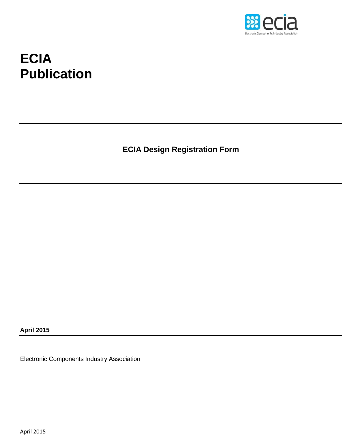

# **ECIA Publication**

**ECIA Design Registration Form**

**April 2015**

Electronic Components Industry Association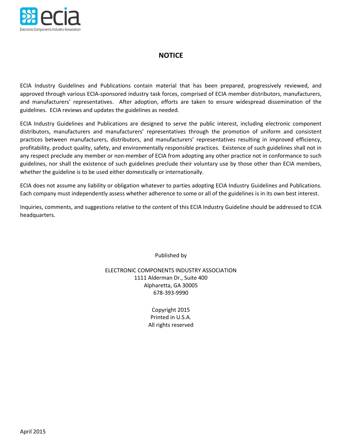

#### **NOTICE**

ECIA Industry Guidelines and Publications contain material that has been prepared, progressively reviewed, and approved through various ECIA-sponsored industry task forces, comprised of ECIA member distributors, manufacturers, and manufacturers' representatives. After adoption, efforts are taken to ensure widespread dissemination of the guidelines. ECIA reviews and updates the guidelines as needed.

ECIA Industry Guidelines and Publications are designed to serve the public interest, including electronic component distributors, manufacturers and manufacturers' representatives through the promotion of uniform and consistent practices between manufacturers, distributors, and manufacturers' representatives resulting in improved efficiency, profitability, product quality, safety, and environmentally responsible practices. Existence of such guidelines shall not in any respect preclude any member or non-member of ECIA from adopting any other practice not in conformance to such guidelines, nor shall the existence of such guidelines preclude their voluntary use by those other than ECIA members, whether the guideline is to be used either domestically or internationally.

ECIA does not assume any liability or obligation whatever to parties adopting ECIA Industry Guidelines and Publications. Each company must independently assess whether adherence to some or all of the guidelines is in its own best interest.

Inquiries, comments, and suggestions relative to the content of this ECIA Industry Guideline should be addressed to ECIA headquarters.

Published by

ELECTRONIC COMPONENTS INDUSTRY ASSOCIATION 1111 Alderman Dr., Suite 400 Alpharetta, GA 30005 678-393-9990

> Copyright 2015 Printed in U.S.A. All rights reserved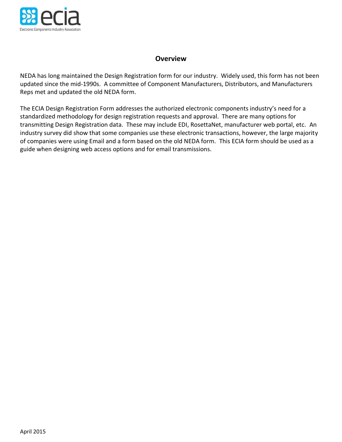

#### **Overview**

NEDA has long maintained the Design Registration form for our industry. Widely used, this form has not been updated since the mid-1990s. A committee of Component Manufacturers, Distributors, and Manufacturers Reps met and updated the old NEDA form.

The ECIA Design Registration Form addresses the authorized electronic components industry's need for a standardized methodology for design registration requests and approval. There are many options for transmitting Design Registration data. These may include EDI, RosettaNet, manufacturer web portal, etc. An industry survey did show that some companies use these electronic transactions, however, the large majority of companies were using Email and a form based on the old NEDA form. This ECIA form should be used as a guide when designing web access options and for email transmissions.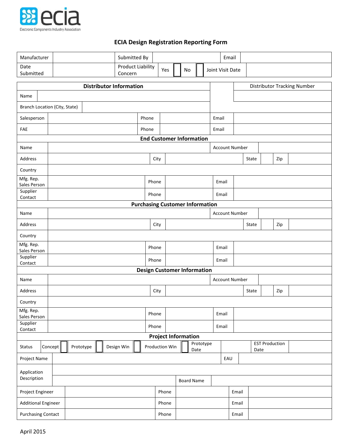

### **ECIA Design Registration Reporting Form**

| Manufacturer                       |                                |           |  |            | Submitted By                           |       |                            |                   |                   |       |       | Email                 |       |      |     |                       |                                    |  |
|------------------------------------|--------------------------------|-----------|--|------------|----------------------------------------|-------|----------------------------|-------------------|-------------------|-------|-------|-----------------------|-------|------|-----|-----------------------|------------------------------------|--|
| Date<br>Submitted                  |                                |           |  | Concern    | <b>Product Liability</b>               |       | Yes                        | No                |                   |       |       | Joint Visit Date      |       |      |     |                       |                                    |  |
|                                    | <b>Distributor Information</b> |           |  |            |                                        |       |                            |                   |                   |       |       |                       |       |      |     |                       | <b>Distributor Tracking Number</b> |  |
| Name                               |                                |           |  |            |                                        |       |                            |                   |                   |       |       |                       |       |      |     |                       |                                    |  |
|                                    | Branch Location (City, State)  |           |  |            |                                        |       |                            |                   |                   |       |       |                       |       |      |     |                       |                                    |  |
| Salesperson                        | Phone                          |           |  |            |                                        |       |                            |                   |                   | Email |       |                       |       |      |     |                       |                                    |  |
| FAE                                |                                |           |  |            | Phone                                  | Email |                            |                   |                   |       |       |                       |       |      |     |                       |                                    |  |
| <b>End Customer Information</b>    |                                |           |  |            |                                        |       |                            |                   |                   |       |       |                       |       |      |     |                       |                                    |  |
| Name                               |                                |           |  |            |                                        |       |                            |                   |                   |       |       | <b>Account Number</b> |       |      |     |                       |                                    |  |
| Address                            |                                |           |  |            |                                        | City  |                            |                   |                   |       |       |                       | State |      |     | Zip                   |                                    |  |
| Country                            |                                |           |  |            |                                        |       |                            |                   |                   |       |       |                       |       |      |     |                       |                                    |  |
| Mfg. Rep.<br>Sales Person          |                                |           |  |            |                                        | Phone |                            |                   |                   |       | Email |                       |       |      |     |                       |                                    |  |
| Supplier<br>Contact                |                                |           |  |            |                                        | Phone |                            |                   |                   |       | Email |                       |       |      |     |                       |                                    |  |
|                                    |                                |           |  |            | <b>Purchasing Customer Information</b> |       |                            |                   |                   |       |       |                       |       |      |     |                       |                                    |  |
| Name                               |                                |           |  |            |                                        |       |                            |                   |                   |       |       | <b>Account Number</b> |       |      |     |                       |                                    |  |
| Address                            |                                |           |  |            |                                        | City  |                            |                   |                   |       |       | State                 |       |      | Zip |                       |                                    |  |
| Country                            |                                |           |  |            |                                        |       |                            |                   |                   |       |       |                       |       |      |     |                       |                                    |  |
| Mfg. Rep.<br>Sales Person          |                                |           |  |            |                                        | Phone |                            |                   |                   | Email |       |                       |       |      |     |                       |                                    |  |
| Supplier<br>Contact                |                                |           |  |            |                                        | Phone | Email                      |                   |                   |       |       |                       |       |      |     |                       |                                    |  |
| <b>Design Customer Information</b> |                                |           |  |            |                                        |       |                            |                   |                   |       |       |                       |       |      |     |                       |                                    |  |
| Name                               |                                |           |  |            |                                        |       |                            |                   |                   |       |       | <b>Account Number</b> |       |      |     |                       |                                    |  |
| Address                            |                                |           |  |            | City                                   |       |                            |                   |                   |       |       | State                 |       |      | Zip |                       |                                    |  |
| Country                            |                                |           |  |            |                                        |       |                            |                   |                   |       |       |                       |       |      |     |                       |                                    |  |
| Mfg. Rep.<br>Sales Person          |                                |           |  |            |                                        | Phone |                            |                   |                   |       | Email |                       |       |      |     |                       |                                    |  |
| Supplier<br>Contact                |                                |           |  |            |                                        | Phone |                            |                   |                   | Email |       |                       |       |      |     |                       |                                    |  |
|                                    |                                |           |  |            |                                        |       | <b>Project Information</b> |                   |                   |       |       |                       |       |      |     |                       |                                    |  |
| <b>Status</b>                      | Concept                        | Prototype |  | Design Win |                                        |       | Production Win             |                   | Prototype<br>Date |       |       |                       |       | Date |     | <b>EST Production</b> |                                    |  |
| Project Name                       |                                |           |  |            |                                        |       |                            |                   |                   |       |       | EAU                   |       |      |     |                       |                                    |  |
| Application                        |                                |           |  |            |                                        |       |                            |                   |                   |       |       |                       |       |      |     |                       |                                    |  |
| Description                        |                                |           |  |            |                                        |       |                            | <b>Board Name</b> |                   |       |       |                       |       |      |     |                       |                                    |  |
| Project Engineer                   |                                |           |  |            |                                        |       | Phone                      |                   |                   |       | Email |                       |       |      |     |                       |                                    |  |
| <b>Additional Engineer</b>         |                                |           |  |            |                                        |       | Phone                      |                   |                   |       |       | Email                 |       |      |     |                       |                                    |  |
| <b>Purchasing Contact</b>          |                                |           |  |            | Phone                                  |       |                            |                   | Email             |       |       |                       |       |      |     |                       |                                    |  |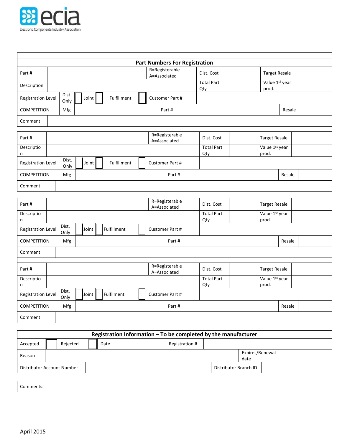

|                                                                                      |                                                                                       |       |             |  |  | <b>Part Numbers For Registration</b> |                          |                         |        |  |
|--------------------------------------------------------------------------------------|---------------------------------------------------------------------------------------|-------|-------------|--|--|--------------------------------------|--------------------------|-------------------------|--------|--|
| Part#                                                                                |                                                                                       |       |             |  |  | R=Registerable<br>A=Associated       | Dist. Cost               | <b>Target Resale</b>    |        |  |
| Description                                                                          | <b>Total Part</b><br>Qty                                                              |       |             |  |  |                                      |                          | Value 1st year<br>prod. |        |  |
| <b>Registration Level</b>                                                            | Dist.<br>Fulfillment<br>Joint<br>Customer Part #<br>Only                              |       |             |  |  |                                      |                          |                         |        |  |
| <b>COMPETITION</b>                                                                   | Mfg<br>Part#<br>Resale                                                                |       |             |  |  |                                      |                          |                         |        |  |
| Comment                                                                              |                                                                                       |       |             |  |  |                                      |                          |                         |        |  |
| Part#                                                                                |                                                                                       |       |             |  |  | R=Registerable<br>A=Associated       | Dist. Cost               | <b>Target Resale</b>    |        |  |
| Descriptio<br>n                                                                      |                                                                                       |       |             |  |  |                                      | <b>Total Part</b><br>Qty | Value 1st year<br>prod. |        |  |
| <b>Registration Level</b>                                                            | Dist.<br>Only                                                                         | Joint | Fulfillment |  |  | Customer Part #                      |                          |                         |        |  |
| <b>COMPETITION</b>                                                                   | Mfg<br>Part#<br>Resale                                                                |       |             |  |  |                                      |                          |                         |        |  |
| Comment                                                                              |                                                                                       |       |             |  |  |                                      |                          |                         |        |  |
|                                                                                      |                                                                                       |       |             |  |  |                                      |                          |                         |        |  |
| Part#                                                                                |                                                                                       |       |             |  |  | R=Registerable<br>A=Associated       | Dist. Cost               | <b>Target Resale</b>    |        |  |
| $\sf n$                                                                              | Value 1st year<br>Descriptio<br><b>Total Part</b><br>Qty<br>prod.                     |       |             |  |  |                                      |                          |                         |        |  |
|                                                                                      | Dist.<br>Fulfillment<br>Joint<br><b>Registration Level</b><br>Customer Part #<br>Only |       |             |  |  |                                      |                          |                         |        |  |
| <b>COMPETITION</b>                                                                   | Mfg                                                                                   |       |             |  |  | Part#                                |                          |                         | Resale |  |
| Comment                                                                              |                                                                                       |       |             |  |  |                                      |                          |                         |        |  |
|                                                                                      |                                                                                       |       |             |  |  |                                      |                          |                         |        |  |
| Part#                                                                                | R=Registerable<br>Dist. Cost<br><b>Target Resale</b><br>A=Associated                  |       |             |  |  |                                      |                          |                         |        |  |
| Descriptio<br>n                                                                      | <b>Total Part</b><br>Value 1st year<br>prod.<br>Qty                                   |       |             |  |  |                                      |                          |                         |        |  |
| Dist.<br>Fulfilment<br>Joint<br><b>Registration Level</b><br>Customer Part #<br>Only |                                                                                       |       |             |  |  |                                      |                          |                         |        |  |
| <b>COMPETITION</b>                                                                   | Mfg<br>Resale<br>Part#                                                                |       |             |  |  |                                      |                          |                         |        |  |
| Comment                                                                              |                                                                                       |       |             |  |  |                                      |                          |                         |        |  |

| Registration Information - To be completed by the manufacturer |                         |          |  |      |                |                       |  |  |  |  |  |
|----------------------------------------------------------------|-------------------------|----------|--|------|----------------|-----------------------|--|--|--|--|--|
| Accepted                                                       |                         | Rejected |  | Date | Registration # |                       |  |  |  |  |  |
| Reason                                                         | Expires/Renewal<br>date |          |  |      |                |                       |  |  |  |  |  |
| Distributor Account Number                                     |                         |          |  |      |                | Distributor Branch ID |  |  |  |  |  |
|                                                                |                         |          |  |      |                |                       |  |  |  |  |  |

Comments: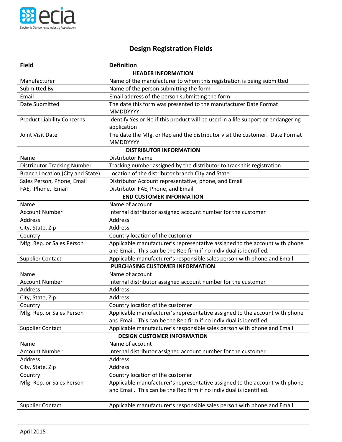

## **Design Registration Fields**

| <b>Field</b>                       | <b>Definition</b>                                                                                                                                  |  |  |  |  |  |  |  |
|------------------------------------|----------------------------------------------------------------------------------------------------------------------------------------------------|--|--|--|--|--|--|--|
| <b>HEADER INFORMATION</b>          |                                                                                                                                                    |  |  |  |  |  |  |  |
| Manufacturer                       | Name of the manufacturer to whom this registration is being submitted                                                                              |  |  |  |  |  |  |  |
| Submitted By                       | Name of the person submitting the form                                                                                                             |  |  |  |  |  |  |  |
| Email                              | Email address of the person submitting the form                                                                                                    |  |  |  |  |  |  |  |
| Date Submitted                     | The date this form was presented to the manufacturer Date Format<br><b>MMDDYYYY</b>                                                                |  |  |  |  |  |  |  |
| <b>Product Liability Concerns</b>  | Identify Yes or No if this product will be used in a life support or endangering<br>application                                                    |  |  |  |  |  |  |  |
| Joint Visit Date                   | The date the Mfg. or Rep and the distributor visit the customer. Date Format<br><b>MMDDYYYY</b>                                                    |  |  |  |  |  |  |  |
|                                    | <b>DISTRIBUTOR INFORMATION</b>                                                                                                                     |  |  |  |  |  |  |  |
| Name                               | <b>Distributor Name</b>                                                                                                                            |  |  |  |  |  |  |  |
| <b>Distributor Tracking Number</b> | Tracking number assigned by the distributor to track this registration                                                                             |  |  |  |  |  |  |  |
| Branch Location (City and State)   | Location of the distributor branch City and State                                                                                                  |  |  |  |  |  |  |  |
| Sales Person, Phone, Email         | Distributor Account representative, phone, and Email                                                                                               |  |  |  |  |  |  |  |
| FAE, Phone, Email                  | Distributor FAE, Phone, and Email                                                                                                                  |  |  |  |  |  |  |  |
|                                    | <b>END CUSTOMER INFORMATION</b>                                                                                                                    |  |  |  |  |  |  |  |
| Name                               | Name of account                                                                                                                                    |  |  |  |  |  |  |  |
| <b>Account Number</b>              | Internal distributor assigned account number for the customer                                                                                      |  |  |  |  |  |  |  |
| <b>Address</b>                     | Address                                                                                                                                            |  |  |  |  |  |  |  |
| City, State, Zip                   | Address                                                                                                                                            |  |  |  |  |  |  |  |
| Country                            | Country location of the customer                                                                                                                   |  |  |  |  |  |  |  |
| Mfg. Rep. or Sales Person          | Applicable manufacturer's representative assigned to the account with phone                                                                        |  |  |  |  |  |  |  |
|                                    | and Email. This can be the Rep firm if no individual is identified.                                                                                |  |  |  |  |  |  |  |
| <b>Supplier Contact</b>            | Applicable manufacturer's responsible sales person with phone and Email                                                                            |  |  |  |  |  |  |  |
|                                    | PURCHASING CUSTOMER INFORMATION                                                                                                                    |  |  |  |  |  |  |  |
| Name                               | Name of account                                                                                                                                    |  |  |  |  |  |  |  |
| <b>Account Number</b>              | Internal distributor assigned account number for the customer                                                                                      |  |  |  |  |  |  |  |
| <b>Address</b>                     | Address                                                                                                                                            |  |  |  |  |  |  |  |
| City, State, Zip                   | Address                                                                                                                                            |  |  |  |  |  |  |  |
| Country                            | Country location of the customer                                                                                                                   |  |  |  |  |  |  |  |
| Mfg. Rep. or Sales Person          | Applicable manufacturer's representative assigned to the account with phone                                                                        |  |  |  |  |  |  |  |
|                                    | and Email. This can be the Rep firm if no individual is identified.                                                                                |  |  |  |  |  |  |  |
| <b>Supplier Contact</b>            | Applicable manufacturer's responsible sales person with phone and Email                                                                            |  |  |  |  |  |  |  |
|                                    | <b>DESIGN CUSTOMER INFORMATION</b>                                                                                                                 |  |  |  |  |  |  |  |
| Name                               | Name of account                                                                                                                                    |  |  |  |  |  |  |  |
| <b>Account Number</b>              | Internal distributor assigned account number for the customer                                                                                      |  |  |  |  |  |  |  |
| Address                            | Address                                                                                                                                            |  |  |  |  |  |  |  |
| City, State, Zip                   | Address                                                                                                                                            |  |  |  |  |  |  |  |
| Country                            | Country location of the customer                                                                                                                   |  |  |  |  |  |  |  |
| Mfg. Rep. or Sales Person          | Applicable manufacturer's representative assigned to the account with phone<br>and Email. This can be the Rep firm if no individual is identified. |  |  |  |  |  |  |  |
| <b>Supplier Contact</b>            | Applicable manufacturer's responsible sales person with phone and Email                                                                            |  |  |  |  |  |  |  |